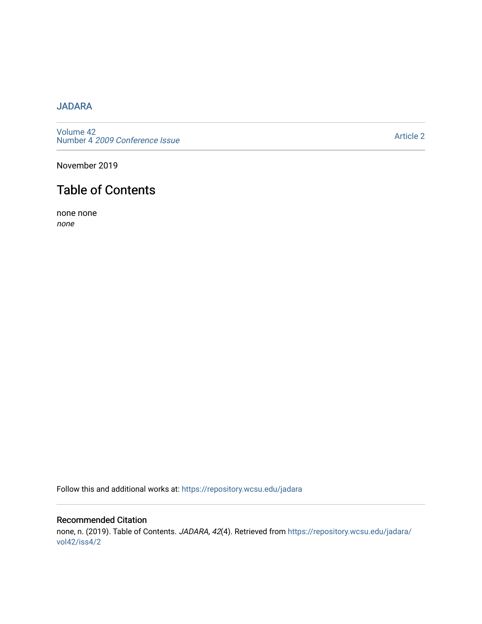## [JADARA](https://repository.wcsu.edu/jadara)

[Volume 42](https://repository.wcsu.edu/jadara/vol42)  Number 4 [2009 Conference Issue](https://repository.wcsu.edu/jadara/vol42/iss4) 

[Article 2](https://repository.wcsu.edu/jadara/vol42/iss4/2) 

November 2019

## Table of Contents

none none none

Follow this and additional works at: [https://repository.wcsu.edu/jadara](https://repository.wcsu.edu/jadara?utm_source=repository.wcsu.edu%2Fjadara%2Fvol42%2Fiss4%2F2&utm_medium=PDF&utm_campaign=PDFCoverPages)

## Recommended Citation none, n. (2019). Table of Contents. JADARA, 42(4). Retrieved from [https://repository.wcsu.edu/jadara/](https://repository.wcsu.edu/jadara/vol42/iss4/2?utm_source=repository.wcsu.edu%2Fjadara%2Fvol42%2Fiss4%2F2&utm_medium=PDF&utm_campaign=PDFCoverPages) [vol42/iss4/2](https://repository.wcsu.edu/jadara/vol42/iss4/2?utm_source=repository.wcsu.edu%2Fjadara%2Fvol42%2Fiss4%2F2&utm_medium=PDF&utm_campaign=PDFCoverPages)